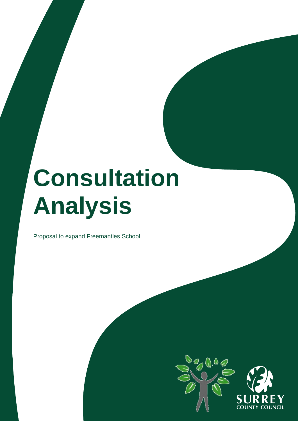# **Consultation Analysis**

Proposal to expand Freemantles School

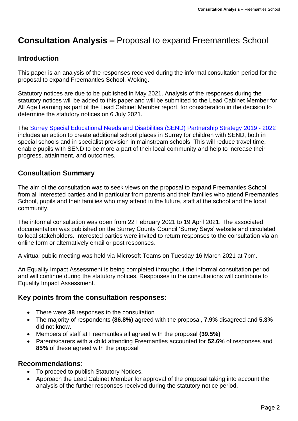## **Consultation Analysis –** Proposal to expand Freemantles School

## **Introduction**

This paper is an analysis of the responses received during the informal consultation period for the proposal to expand Freemantles School, Woking.

Statutory notices are due to be published in May 2021. Analysis of the responses during the statutory notices will be added to this paper and will be submitted to the Lead Cabinet Member for All Age Learning as part of the Lead Cabinet Member report, for consideration in the decision to determine the statutory notices on 6 July 2021.

The [Surrey Special Educational Needs and Disabilities \(SEND\) Partnership Strategy](https://www.surreylocaloffer.org.uk/kb5/surrey/localoffer/site.page?id=XFGxtfQWKrY) [2019 -](https://www.surreylocaloffer.org.uk/kb5/surrey/localoffer/site.page?id=XFGxtfQWKrY) [2022](https://www.surreylocaloffer.org.uk/kb5/surrey/localoffer/site.page?id=XFGxtfQWKrY) includes an action to create additional school places in Surrey for children with SEND, both in special schools and in specialist provision in mainstream schools. This will reduce travel time, enable pupils with SEND to be more a part of their local community and help to increase their progress, attainment, and outcomes.

## **Consultation Summary**

The aim of the consultation was to seek views on the proposal to expand Freemantles School from all interested parties and in particular from parents and their families who attend Freemantles School, pupils and their families who may attend in the future, staff at the school and the local community.

The informal consultation was open from 22 February 2021 to 19 April 2021. The associated documentation was published on the Surrey County Council 'Surrey Says' website and circulated to local stakeholders. Interested parties were invited to return responses to the consultation via an online form or alternatively email or post responses.

A virtual public meeting was held via Microsoft Teams on Tuesday 16 March 2021 at 7pm.

An Equality Impact Assessment is being completed throughout the informal consultation period and will continue during the statutory notices. Responses to the consultations will contribute to Equality Impact Assessment.

## **Key points from the consultation responses**:

- There were **38** responses to the consultation
- The majority of respondents **(86.8%)** agreed with the proposal, **7.9%** disagreed and **5.3%** did not know.
- Members of staff at Freemantles all agreed with the proposal **(39.5%)**
- Parents/carers with a child attending Freemantles accounted for **52.6%** of responses and **85%** of these agreed with the proposal

#### **Recommendations**:

- To proceed to publish Statutory Notices.
- Approach the Lead Cabinet Member for approval of the proposal taking into account the analysis of the further responses received during the statutory notice period.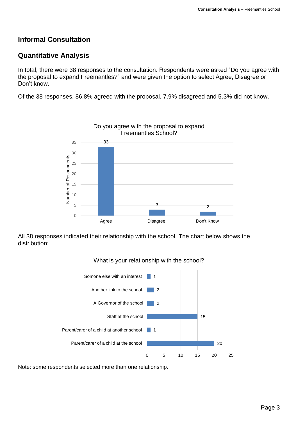## **Informal Consultation**

#### **Quantitative Analysis**

In total, there were 38 responses to the consultation. Respondents were asked "Do you agree with the proposal to expand Freemantles?" and were given the option to select Agree, Disagree or Don't know.

Of the 38 responses, 86.8% agreed with the proposal, 7.9% disagreed and 5.3% did not know.



All 38 responses indicated their relationship with the school. The chart below shows the distribution:



Note: some respondents selected more than one relationship.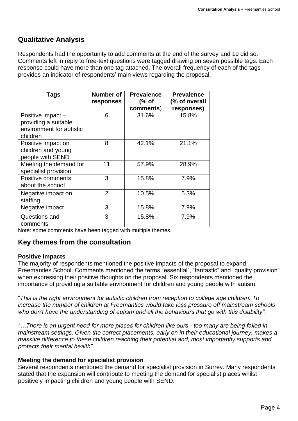## **Qualitative Analysis**

Respondents had the opportunity to add comments at the end of the survey and 19 did so. Comments left in reply to free-text questions were tagged drawing on seven possible tags. Each response could have more than one tag attached. The overall frequency of each of the tags provides an indicator of respondents' main views regarding the proposal.

| <b>Tags</b>                                                                      | Number of<br>responses | <b>Prevalence</b><br>$%$ of<br>comments) | <b>Prevalence</b><br>(% of overall<br>responses) |
|----------------------------------------------------------------------------------|------------------------|------------------------------------------|--------------------------------------------------|
| Positive impact-<br>providing a suitable<br>environment for autistic<br>children | 6                      | 31.6%                                    | 15.8%                                            |
| Positive impact on<br>children and young<br>people with SEND                     | 8                      | 42.1%                                    | 21.1%                                            |
| Meeting the demand for<br>specialist provision                                   | 11                     | 57.9%                                    | 28.9%                                            |
| Positive comments<br>about the school                                            | 3                      | 15.8%                                    | 7.9%                                             |
| Negative impact on<br>staffing                                                   | $\overline{2}$         | 10.5%                                    | 5.3%                                             |
| Negative impact                                                                  | 3                      | 15.8%                                    | 7.9%                                             |
| Questions and<br>comments                                                        | 3                      | 15.8%                                    | 7.9%                                             |

Note: some comments have been tagged with multiple themes.

## **Key themes from the consultation**

#### **Positive impacts**

The majority of respondents mentioned the positive impacts of the proposal to expand Freemantles School. Comments mentioned the terms "essential", "fantastic" and "quality provision" when expressing their positive thoughts on the proposal. Six respondents mentioned the importance of providing a suitable environment for children and young people with autism.

"*This is the right environment for autistic children from reception to college age children. To increase the number of children at Freemantles would take less pressure off mainstream schools who don't have the understanding of autism and all the behaviours that go with this disability".*

*"…There is an urgent need for more places for children like ours - too many are being failed in mainstream settings. Given the correct placements, early on in their educational journey, makes a massive difference to these children reaching their potential and, most importantly supports and protects their mental health".*

#### **Meeting the demand for specialist provision**

Several respondents mentioned the demand for specialist provision in Surrey. Many respondents stated that the expansion will contribute to meeting the demand for specialist places whilst positively impacting children and young people with SEND.